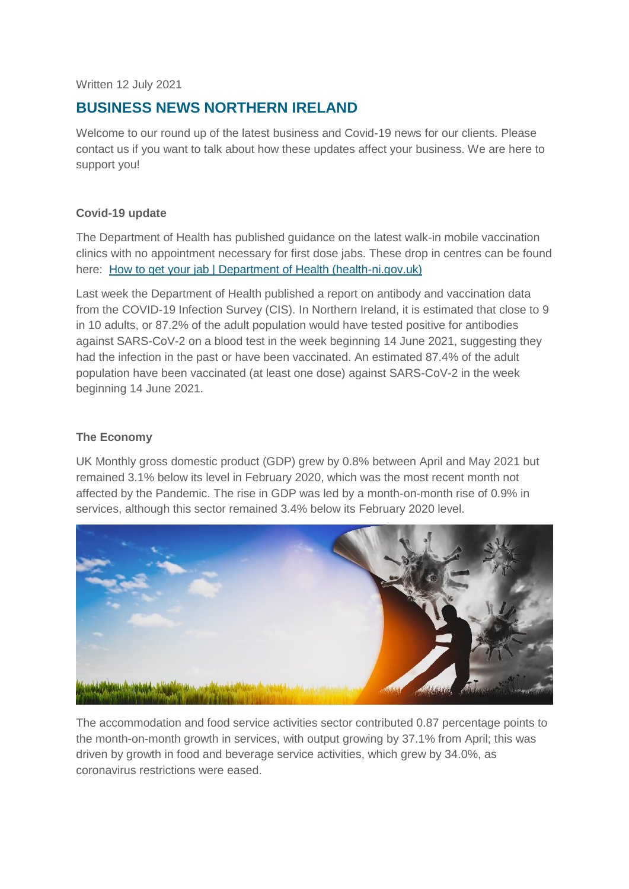Written 12 July 2021

# **BUSINESS NEWS NORTHERN IRELAND**

Welcome to our round up of the latest business and Covid-19 news for our clients. Please contact us if you want to talk about how these updates affect your business. We are here to support you!

#### **Covid-19 update**

The Department of Health has published guidance on the latest walk-in mobile vaccination clinics with no appointment necessary for first dose jabs. These drop in centres can be found here: [How to get your jab | Department of Health \(health-ni.gov.uk\)](http://www.health-ni.gov.uk/news/how-get-your-jab)

Last week the Department of Health published a report on antibody and vaccination data from the COVID-19 Infection Survey (CIS). In Northern Ireland, it is estimated that close to 9 in 10 adults, or 87.2% of the adult population would have tested positive for antibodies against SARS-CoV-2 on a blood test in the week beginning 14 June 2021, suggesting they had the infection in the past or have been vaccinated. An estimated 87.4% of the adult population have been vaccinated (at least one dose) against SARS-CoV-2 in the week beginning 14 June 2021.

# **The Economy**

UK Monthly gross domestic product (GDP) grew by 0.8% between April and May 2021 but remained 3.1% below its level in February 2020, which was the most recent month not affected by the Pandemic. The rise in GDP was led by a month-on-month rise of 0.9% in services, although this sector remained 3.4% below its February 2020 level.



The accommodation and food service activities sector contributed 0.87 percentage points to the month-on-month growth in services, with output growing by 37.1% from April; this was driven by growth in food and beverage service activities, which grew by 34.0%, as coronavirus restrictions were eased.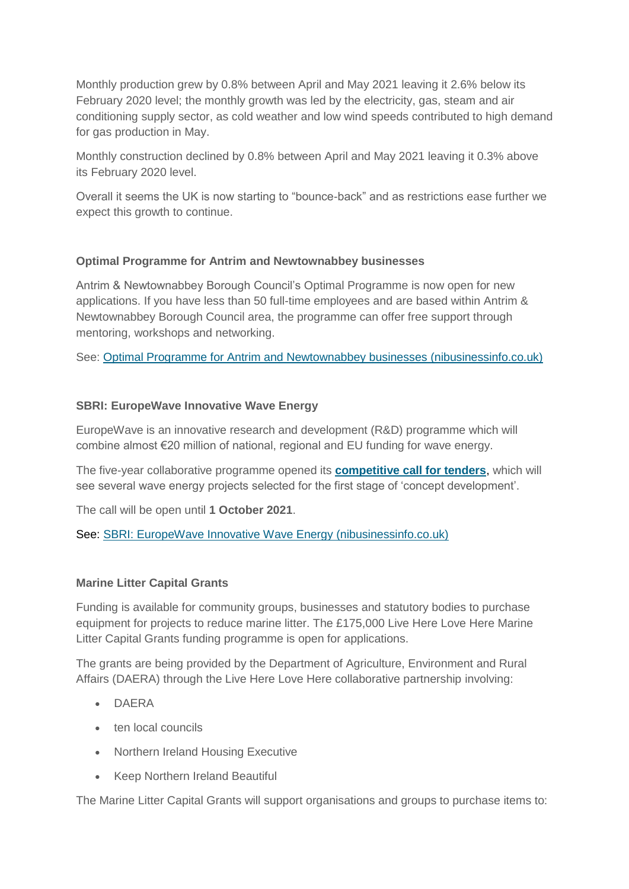Monthly production grew by 0.8% between April and May 2021 leaving it 2.6% below its February 2020 level; the monthly growth was led by the electricity, gas, steam and air conditioning supply sector, as cold weather and low wind speeds contributed to high demand for gas production in May.

Monthly construction declined by 0.8% between April and May 2021 leaving it 0.3% above its February 2020 level.

Overall it seems the UK is now starting to "bounce-back" and as restrictions ease further we expect this growth to continue.

# **Optimal Programme for Antrim and Newtownabbey businesses**

Antrim & Newtownabbey Borough Council's Optimal Programme is now open for new applications. If you have less than 50 full-time employees and are based within Antrim & Newtownabbey Borough Council area, the programme can offer free support through mentoring, workshops and networking.

See: [Optimal Programme for Antrim and Newtownabbey businesses \(nibusinessinfo.co.uk\)](https://www.nibusinessinfo.co.uk/content/optimal-programme-antrim-and-newtownabbey-businesses)

# **SBRI: EuropeWave Innovative Wave Energy**

EuropeWave is an innovative research and development (R&D) programme which will combine almost €20 million of national, regional and EU funding for wave energy.

The five-year collaborative programme opened its **[competitive call for tenders](https://www.europewave.eu/requestfortenders)**, which will see several wave energy projects selected for the first stage of 'concept development'.

The call will be open until **1 October 2021**.

See: [SBRI: EuropeWave Innovative Wave Energy \(nibusinessinfo.co.uk\)](https://www.nibusinessinfo.co.uk/content/sbri-europewave-innovative-wave-energy)

#### **Marine Litter Capital Grants**

Funding is available for community groups, businesses and statutory bodies to purchase equipment for projects to reduce marine litter. The £175,000 Live Here Love Here Marine Litter Capital Grants funding programme is open for applications.

The grants are being provided by the Department of Agriculture, Environment and Rural Affairs (DAERA) through the Live Here Love Here collaborative partnership involving:

- DAERA
- **ten local councils**
- Northern Ireland Housing Executive
- Keep Northern Ireland Beautiful

The Marine Litter Capital Grants will support organisations and groups to purchase items to: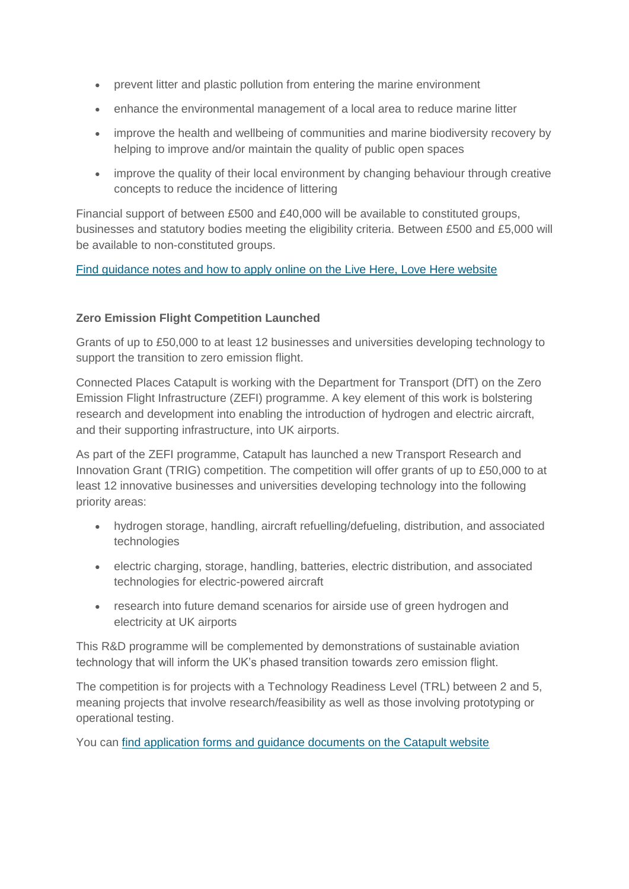- prevent litter and plastic pollution from entering the marine environment
- enhance the environmental management of a local area to reduce marine litter
- improve the health and wellbeing of communities and marine biodiversity recovery by helping to improve and/or maintain the quality of public open spaces
- improve the quality of their local environment by changing behaviour through creative concepts to reduce the incidence of littering

Financial support of between £500 and £40,000 will be available to constituted groups, businesses and statutory bodies meeting the eligibility criteria. Between £500 and £5,000 will be available to non-constituted groups.

# [Find guidance notes and how to apply online on the Live Here, Love Here](https://www.liveherelovehere.org/cgi-bin/generic?instanceID=66) website

# **Zero Emission Flight Competition Launched**

Grants of up to £50,000 to at least 12 businesses and universities developing technology to support the transition to zero emission flight.

Connected Places Catapult is working with the Department for Transport (DfT) on the Zero Emission Flight Infrastructure (ZEFI) programme. A key element of this work is bolstering research and development into enabling the introduction of hydrogen and electric aircraft, and their supporting infrastructure, into UK airports.

As part of the ZEFI programme, Catapult has launched a new Transport Research and Innovation Grant (TRIG) competition. The competition will offer grants of up to £50,000 to at least 12 innovative businesses and universities developing technology into the following priority areas:

- hydrogen storage, handling, aircraft refuelling/defueling, distribution, and associated technologies
- electric charging, storage, handling, batteries, electric distribution, and associated technologies for electric-powered aircraft
- research into future demand scenarios for airside use of green hydrogen and electricity at UK airports

This R&D programme will be complemented by demonstrations of sustainable aviation technology that will inform the UK's phased transition towards zero emission flight.

The competition is for projects with a Technology Readiness Level (TRL) between 2 and 5, meaning projects that involve research/feasibility as well as those involving prototyping or operational testing.

You can [find application forms and guidance documents on the Catapult website](https://cp.catapult.org.uk/opportunity/trig-zero-emission-flight/)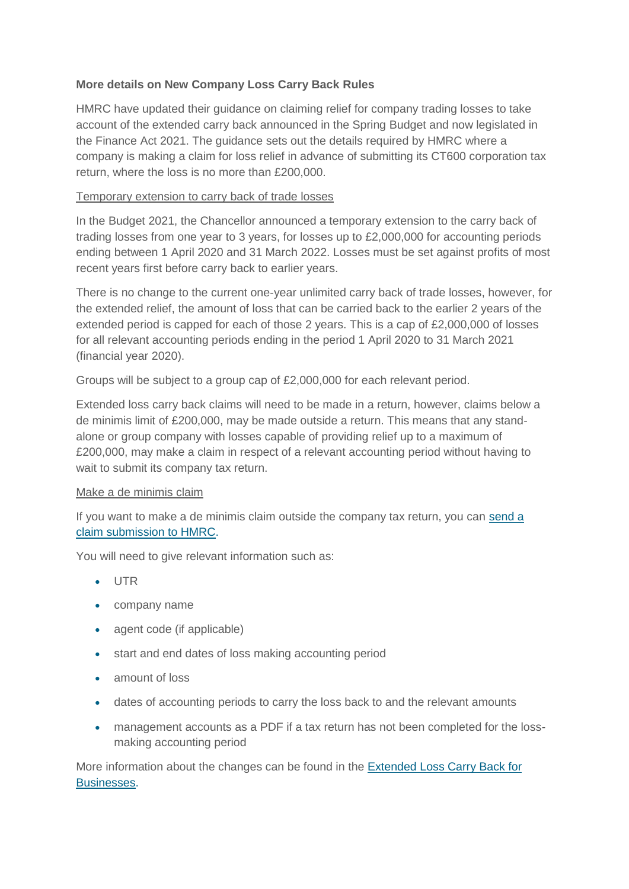# **More details on New Company Loss Carry Back Rules**

HMRC have updated their guidance on claiming relief for company trading losses to take account of the extended carry back announced in the Spring Budget and now legislated in the Finance Act 2021. The guidance sets out the details required by HMRC where a company is making a claim for loss relief in advance of submitting its CT600 corporation tax return, where the loss is no more than £200,000.

# Temporary extension to carry back of trade losses

In the Budget 2021, the Chancellor announced a temporary extension to the carry back of trading losses from one year to 3 years, for losses up to £2,000,000 for accounting periods ending between 1 April 2020 and 31 March 2022. Losses must be set against profits of most recent years first before carry back to earlier years.

There is no change to the current one-year unlimited carry back of trade losses, however, for the extended relief, the amount of loss that can be carried back to the earlier 2 years of the extended period is capped for each of those 2 years. This is a cap of £2,000,000 of losses for all relevant accounting periods ending in the period 1 April 2020 to 31 March 2021 (financial year 2020).

Groups will be subject to a group cap of £2,000,000 for each relevant period.

Extended loss carry back claims will need to be made in a return, however, claims below a de minimis limit of £200,000, may be made outside a return. This means that any standalone or group company with losses capable of providing relief up to a maximum of £200,000, may make a claim in respect of a relevant accounting period without having to wait to submit its company tax return.

#### Make a de minimis claim

If you want to make a de minimis claim outside the company tax return, you can [send a](https://www.tax.service.gov.uk/submissions/new-form/make-claim-for-extended-loss-carry-back)  [claim submission to HMRC.](https://www.tax.service.gov.uk/submissions/new-form/make-claim-for-extended-loss-carry-back)

You will need to give relevant information such as:

- UTR
- company name
- agent code (if applicable)
- start and end dates of loss making accounting period
- amount of loss
- dates of accounting periods to carry the loss back to and the relevant amounts
- management accounts as a PDF if a tax return has not been completed for the lossmaking accounting period

More information about the changes can be found in the **Extended Loss Carry Back for** [Businesses.](https://www.gov.uk/government/publications/extended-loss-carry-back-for-businesses)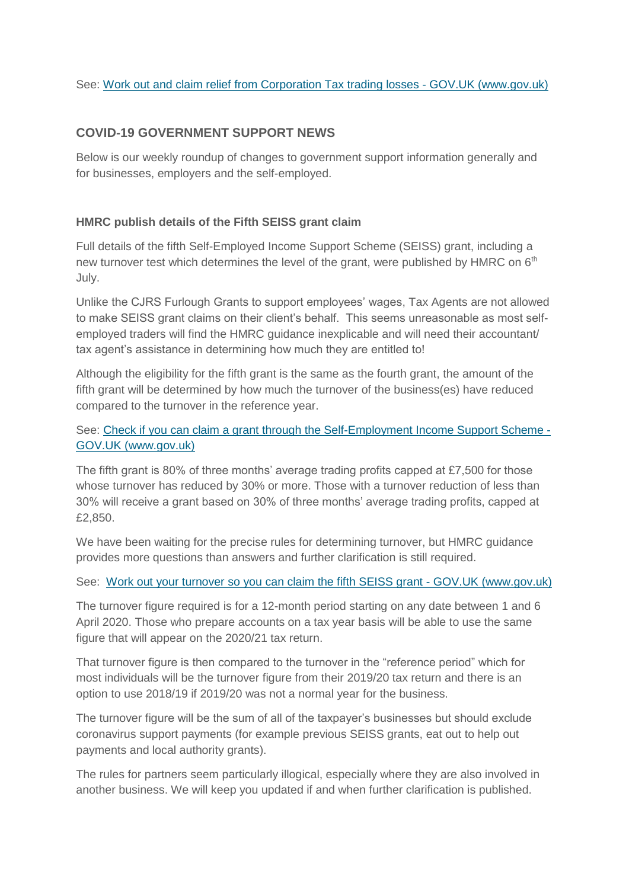# **COVID-19 GOVERNMENT SUPPORT NEWS**

Below is our weekly roundup of changes to government support information generally and for businesses, employers and the self-employed.

# **HMRC publish details of the Fifth SEISS grant claim**

Full details of the fifth Self-Employed Income Support Scheme (SEISS) grant, including a new turnover test which determines the level of the grant, were published by HMRC on 6<sup>th</sup> July.

Unlike the CJRS Furlough Grants to support employees' wages, Tax Agents are not allowed to make SEISS grant claims on their client's behalf. This seems unreasonable as most selfemployed traders will find the HMRC guidance inexplicable and will need their accountant/ tax agent's assistance in determining how much they are entitled to!

Although the eligibility for the fifth grant is the same as the fourth grant, the amount of the fifth grant will be determined by how much the turnover of the business(es) have reduced compared to the turnover in the reference year.

See: [Check if you can claim a grant through the Self-Employment Income Support Scheme -](https://www.gov.uk/guidance/claim-a-grant-through-the-coronavirus-covid-19-self-employment-income-support-scheme) [GOV.UK \(www.gov.uk\)](https://www.gov.uk/guidance/claim-a-grant-through-the-coronavirus-covid-19-self-employment-income-support-scheme)

The fifth grant is 80% of three months' average trading profits capped at £7,500 for those whose turnover has reduced by 30% or more. Those with a turnover reduction of less than 30% will receive a grant based on 30% of three months' average trading profits, capped at £2,850.

We have been waiting for the precise rules for determining turnover, but HMRC guidance provides more questions than answers and further clarification is still required.

See: [Work out your turnover so you can claim the fifth SEISS grant -](https://www.gov.uk/guidance/work-out-your-turnover-so-you-can-claim-the-fifth-seiss-grant) GOV.UK (www.gov.uk)

The turnover figure required is for a 12-month period starting on any date between 1 and 6 April 2020. Those who prepare accounts on a tax year basis will be able to use the same figure that will appear on the 2020/21 tax return.

That turnover figure is then compared to the turnover in the "reference period" which for most individuals will be the turnover figure from their 2019/20 tax return and there is an option to use 2018/19 if 2019/20 was not a normal year for the business.

The turnover figure will be the sum of all of the taxpayer's businesses but should exclude coronavirus support payments (for example previous SEISS grants, eat out to help out payments and local authority grants).

The rules for partners seem particularly illogical, especially where they are also involved in another business. We will keep you updated if and when further clarification is published.